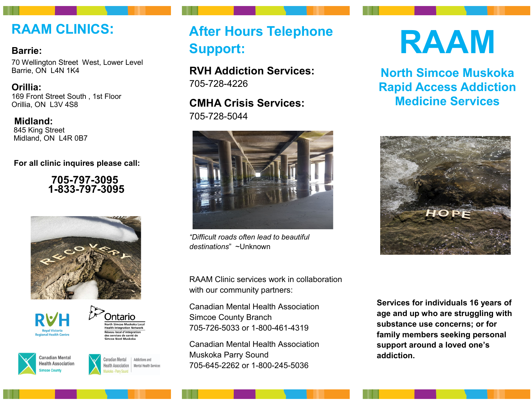### **RAAM CLINICS:**

#### **Barrie:**

70 Wellington Street West, Lower Level Barrie, ON L4N 1K4

**Orillia:** 169 Front Street South , 1st Floor Orillia, ON L3V 4S8

**Midland:** 845 King Street Midland, ON L4R 0B7

**For all clinic inquires please call:**

 **705-797-3095 1-833-797-3095**









Canadian Mental Addictions and lealth Association **Mental Health Services** 

# **After Hours Telephone Support:**

**RVH Addiction Services:**  705-728-4226

**CMHA Crisis Services:**  705-728-5044



*"Difficult roads often lead to beautiful destinations*" ~Unknown

RAAM Clinic services work in collaboration with our community partners:

Canadian Mental Health Association Simcoe County Branch 705-726-5033 or 1-800-461-4319

Canadian Mental Health Association Muskoka Parry Sound 705-645-2262 or 1-800-245-5036

# **RAAM**

**North Simcoe Muskoka Rapid Access Addiction Medicine Services**



**Services for individuals 16 years of age and up who are struggling with substance use concerns; or for family members seeking personal support around a loved one's addiction.**